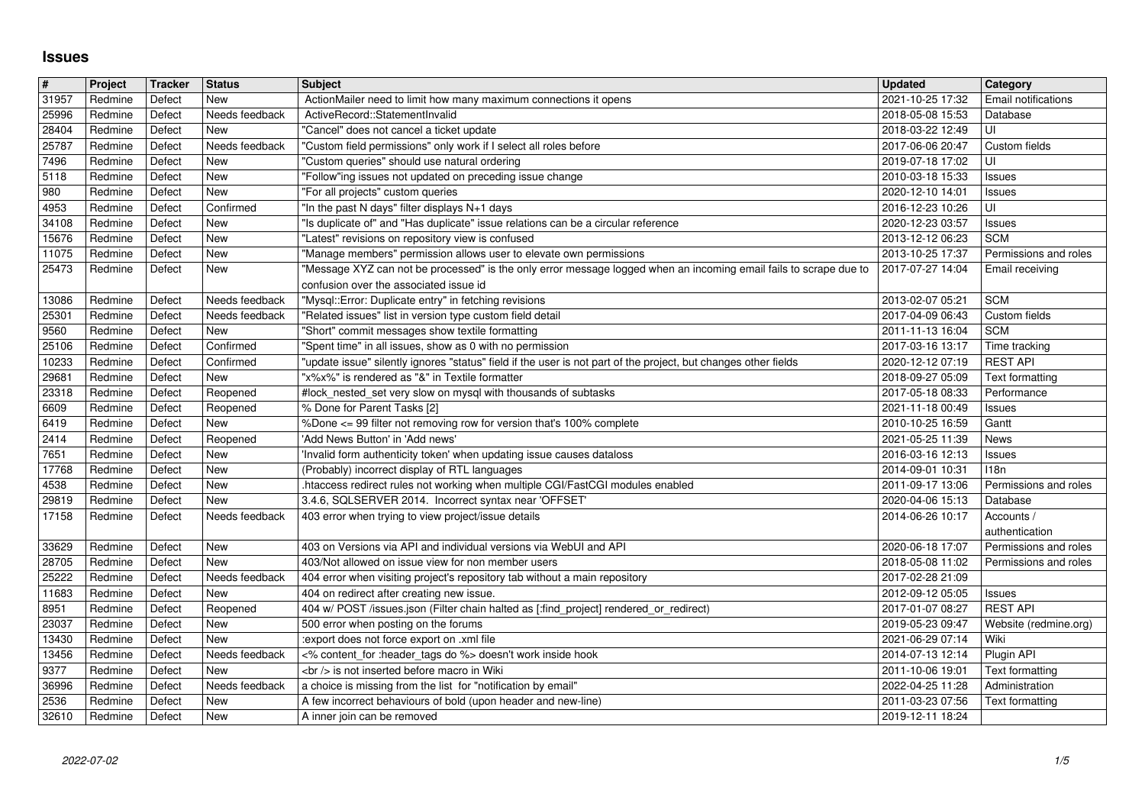## **Issues**

| $\overline{\#}$ | Project            | Tracker          | <b>Status</b>                    | Subject                                                                                                                                                                                 | <b>Updated</b>                                        | Category                                 |
|-----------------|--------------------|------------------|----------------------------------|-----------------------------------------------------------------------------------------------------------------------------------------------------------------------------------------|-------------------------------------------------------|------------------------------------------|
| 31957<br>25996  | Redmine<br>Redmine | Defect<br>Defect | <b>New</b><br>Needs feedback     | ActionMailer need to limit how many maximum connections it opens<br>ActiveRecord::StatementInvalid                                                                                      | 2021-10-25 17:32<br>2018-05-08 15:53                  | Email notifications<br>Database          |
| 28404           | Redmine            | Defect           | <b>New</b>                       | "Cancel" does not cancel a ticket update                                                                                                                                                | 2018-03-22 12:49                                      | UI                                       |
| 25787<br>7496   | Redmine<br>Redmine | Defect<br>Defect | Needs feedback<br>New            | "Custom field permissions" only work if I select all roles before<br>"Custom queries" should use natural ordering                                                                       | 2017-06-06 20:47<br>2019-07-18 17:02                  | Custom fields<br>UI                      |
| 5118            | Redmine            | Defect           | New                              | "Follow"ing issues not updated on preceding issue change                                                                                                                                | 2010-03-18 15:33                                      | Issues                                   |
| 980             | Redmine<br>Redmine | Defect<br>Defect | <b>New</b><br>Confirmed          | "For all projects" custom queries<br>"In the past N days" filter displays N+1 days                                                                                                      | 2020-12-10 14:01<br>2016-12-23 10:26                  | <b>Issues</b><br>UI                      |
| 4953<br>34108   | Redmine            | Defect           | <b>New</b>                       | "Is duplicate of" and "Has duplicate" issue relations can be a circular reference                                                                                                       | 2020-12-23 03:57                                      | <b>Issues</b>                            |
| 15676           | Redmine            | Defect           | <b>New</b>                       | "Latest" revisions on repository view is confused                                                                                                                                       | 2013-12-12 06:23                                      | <b>SCM</b>                               |
| 11075<br>25473  | Redmine<br>Redmine | Defect<br>Defect | <b>New</b><br>New                | "Manage members" permission allows user to elevate own permissions<br>"Message XYZ can not be processed" is the only error message logged when an incoming email fails to scrape due to | 2013-10-25 17:37<br>2017-07-27 14:04                  | Permissions and roles<br>Email receiving |
|                 |                    |                  |                                  | confusion over the associated issue id                                                                                                                                                  |                                                       |                                          |
| 13086<br>25301  | Redmine<br>Redmine | Defect<br>Defect | Needs feedback<br>Needs feedback | "Mysql::Error: Duplicate entry" in fetching revisions<br>"Related issues" list in version type custom field detail                                                                      | 2013-02-07 05:21<br>2017-04-09 06:43                  | <b>SCM</b><br>Custom fields              |
| 9560            | Redmine            | Defect           | New                              | "Short" commit messages show textile formatting                                                                                                                                         | 2011-11-13 16:04                                      | <b>SCM</b>                               |
| 25106           | Redmine            | Defect           | Confirmed                        | 'Spent time" in all issues, show as 0 with no permission                                                                                                                                | 2017-03-16 13:17                                      | Time tracking                            |
| 10233<br>29681  | Redmine<br>Redmine | Defect<br>Defect | Confirmed<br>New                 | "update issue" silently ignores "status" field if the user is not part of the project, but changes other fields<br>"x%x%" is rendered as "&" in Textile formatter                       | 2020-12-12 07:19<br>2018-09-27 05:09                  | <b>REST API</b><br>Text formatting       |
| 23318           | Redmine            | Defect           | Reopened                         | #lock_nested_set very slow on mysql with thousands of subtasks                                                                                                                          | 2017-05-18 08:33                                      | Performance                              |
| 6609<br>6419    | Redmine<br>Redmine | Defect<br>Defect | Reopened<br><b>New</b>           | % Done for Parent Tasks [2]<br>%Done <= 99 filter not removing row for version that's 100% complete                                                                                     | 2021-11-18 00:49<br>2010-10-25 16:59                  | Issues<br>Gantt                          |
| 2414            | Redmine            | Defect           | Reopened                         | 'Add News Button' in 'Add news'                                                                                                                                                         | 2021-05-25 11:39                                      | News                                     |
| 7651<br>17768   | Redmine<br>Redmine | Defect<br>Defect | <b>New</b><br><b>New</b>         | 'Invalid form authenticity token' when updating issue causes dataloss<br>(Probably) incorrect display of RTL languages                                                                  | 2016-03-16 12:13<br>2014-09-01 10:31                  | <b>Issues</b><br>118n                    |
| 4538            | Redmine            | Defect           | New                              | htaccess redirect rules not working when multiple CGI/FastCGI modules enabled                                                                                                           | 2011-09-17 13:06                                      | Permissions and roles                    |
| 29819           | Redmine            | Defect           | <b>New</b>                       | 3.4.6, SQLSERVER 2014. Incorrect syntax near 'OFFSET                                                                                                                                    | 2020-04-06 15:13                                      | Database                                 |
| 17158           | Redmine            | Defect           | Needs feedback                   | 403 error when trying to view project/issue details                                                                                                                                     | 2014-06-26 10:17                                      | Accounts /<br>authentication             |
| 33629           | Redmine            | Defect           | New                              | 403 on Versions via API and individual versions via WebUI and API                                                                                                                       | 2020-06-18 17:07                                      | Permissions and roles                    |
| 28705<br>25222  | Redmine<br>Redmine | Defect<br>Defect | <b>New</b><br>Needs feedback     | 403/Not allowed on issue view for non member users<br>404 error when visiting project's repository tab without a main repository                                                        | 2018-05-08 11:02<br>2017-02-28 21:09                  | Permissions and roles                    |
| 11683           | Redmine            | Defect           | <b>New</b>                       | 404 on redirect after creating new issue.                                                                                                                                               | 2012-09-12 05:05                                      | Issues                                   |
| 8951            | Redmine            | Defect           | Reopened                         | 404 w/ POST /issues.json (Filter chain halted as [:find_project] rendered_or_redirect)                                                                                                  | 2017-01-07 08:27                                      | <b>REST API</b>                          |
| 23037<br>13430  | Redmine<br>Redmine | Defect<br>Defect | New<br><b>New</b>                | 500 error when posting on the forums<br>:export does not force export on .xml file                                                                                                      | 2019-05-23 09:47<br>2021-06-29 07:14                  | Website (redmine.org)<br>Wiki            |
| 13456           | Redmine            | Defect           | Needs feedback                   | <% content_for :header_tags do %> doesn't work inside hook                                                                                                                              | 2014-07-13 12:14                                      | Plugin API                               |
| 9377<br>36996   | Redmine<br>Redmine | Defect<br>Defect | New<br>Needs feedback            | <br>> is not inserted before macro in Wiki<br>a choice is missing from the list for "notification by email"                                                                             | 2011-10-06 19:01<br>2022-04-25 11:28   Administration | Text formatting                          |
| 2536<br>32610   | Redmine            | Defect<br>Defect | <b>New</b>                       | A few incorrect behaviours of bold (upon header and new-line)<br>A inner join can be removed                                                                                            | 2011-03-23 07:56<br>2019-12-11 18:24                  | Text formatting                          |
|                 |                    |                  |                                  |                                                                                                                                                                                         |                                                       |                                          |
|                 |                    |                  |                                  |                                                                                                                                                                                         |                                                       |                                          |
|                 |                    |                  |                                  |                                                                                                                                                                                         |                                                       |                                          |
|                 |                    |                  |                                  |                                                                                                                                                                                         |                                                       |                                          |
|                 |                    |                  |                                  |                                                                                                                                                                                         |                                                       |                                          |
|                 |                    |                  |                                  |                                                                                                                                                                                         |                                                       |                                          |
|                 |                    |                  |                                  |                                                                                                                                                                                         |                                                       |                                          |
|                 |                    |                  |                                  |                                                                                                                                                                                         |                                                       |                                          |
|                 |                    |                  |                                  |                                                                                                                                                                                         |                                                       |                                          |
|                 |                    |                  |                                  |                                                                                                                                                                                         |                                                       |                                          |
|                 |                    |                  |                                  |                                                                                                                                                                                         |                                                       |                                          |
|                 |                    |                  |                                  |                                                                                                                                                                                         |                                                       |                                          |
|                 |                    |                  |                                  |                                                                                                                                                                                         |                                                       |                                          |
|                 |                    |                  |                                  |                                                                                                                                                                                         |                                                       |                                          |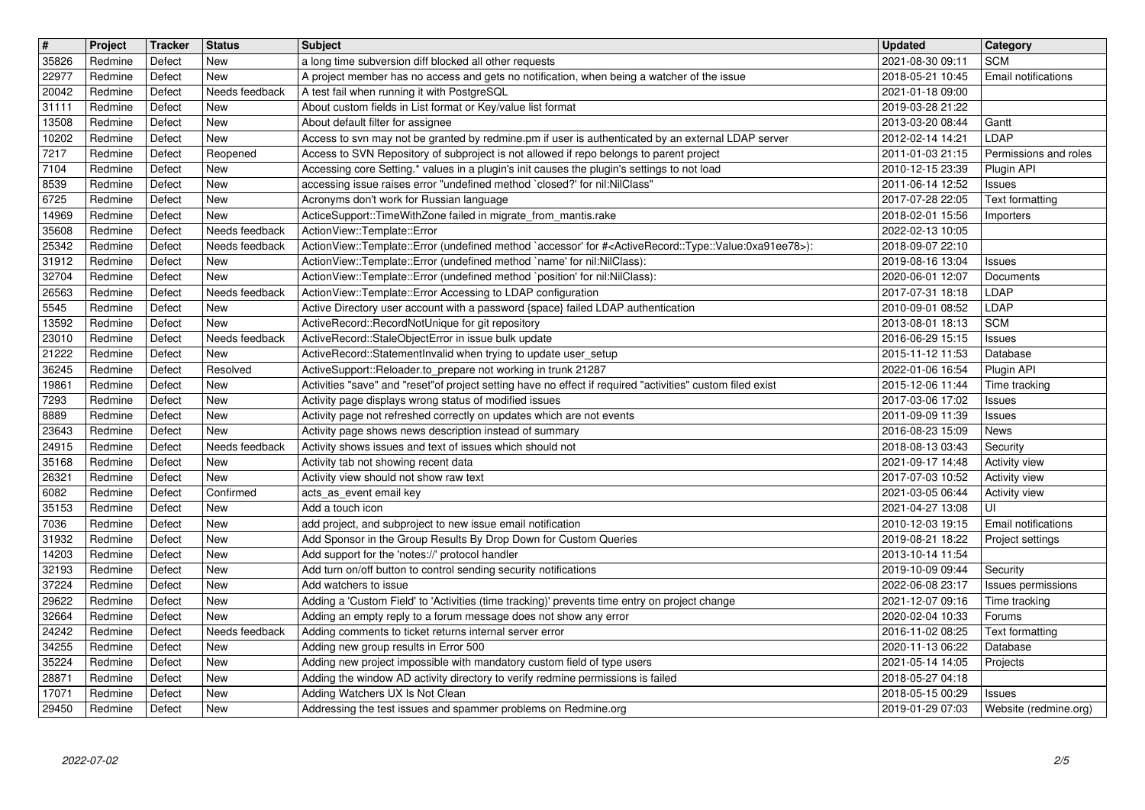| $\overline{\mathbf{t}}$ | Project            | Tracker          | <b>Status</b>                | <b>Subject</b>                                                                                                                                                                         | <b>Updated</b>                       | Category<br><b>SCM</b>              |
|-------------------------|--------------------|------------------|------------------------------|----------------------------------------------------------------------------------------------------------------------------------------------------------------------------------------|--------------------------------------|-------------------------------------|
| 35826<br>22977          | Redmine<br>Redmine | Defect<br>Defect | New<br><b>New</b>            | a long time subversion diff blocked all other requests<br>A project member has no access and gets no notification, when being a watcher of the issue                                   | 2021-08-30 09:11<br>2018-05-21 10:45 | Email notifications                 |
| 20042                   | Redmine            | Defect           | Needs feedback               | A test fail when running it with PostgreSQL                                                                                                                                            | 2021-01-18 09:00                     |                                     |
| 31111<br>13508          | Redmine<br>Redmine | Defect<br>Defect | <b>New</b><br>New            | About custom fields in List format or Key/value list format<br>About default filter for assignee                                                                                       | 2019-03-28 21:22<br>2013-03-20 08:44 | Gantt                               |
| 10202                   | Redmine            | Defect           | <b>New</b>                   | Access to svn may not be granted by redmine.pm if user is authenticated by an external LDAP server                                                                                     | 2012-02-14 14:21                     | LDAP                                |
| 7217<br>7104            | Redmine<br>Redmine | Defect<br>Defect | Reopened<br>New              | Access to SVN Repository of subproject is not allowed if repo belongs to parent project<br>Accessing core Setting.* values in a plugin's init causes the plugin's settings to not load | 2011-01-03 21:15<br>2010-12-15 23:39 | Permissions and roles<br>Plugin API |
| 8539                    | Redmine            | Defect           | <b>New</b>                   | accessing issue raises error "undefined method `closed?' for nil:NilClass"                                                                                                             | 2011-06-14 12:52                     | Issues                              |
| 6725                    | Redmine            | Defect           | New                          | Acronyms don't work for Russian language                                                                                                                                               | 2017-07-28 22:05                     | Text formatting                     |
| 14969<br>35608          | Redmine<br>Redmine | Defect<br>Defect | <b>New</b><br>Needs feedback | ActiceSupport::TimeWithZone failed in migrate_from_mantis.rake<br>ActionView::Template::Error                                                                                          | 2018-02-01 15:56<br>2022-02-13 10:05 | Importers                           |
| 25342                   | Redmine            | Defect           | Needs feedback               | ActionView::Template::Error (undefined method `accessor' for # <activerecord::type::value:0xa91ee78>):</activerecord::type::value:0xa91ee78>                                           | 2018-09-07 22:10                     |                                     |
| 31912<br>32704          | Redmine<br>Redmine | Defect<br>Defect | New<br><b>New</b>            | ActionView::Template::Error (undefined method `name' for nil:NilClass):<br>ActionView::Template::Error (undefined method `position' for nil:NilClass):                                 | 2019-08-16 13:04<br>2020-06-01 12:07 | Issues<br>Documents                 |
| 26563                   | Redmine            | Defect           | Needs feedback               | ActionView::Template::Error Accessing to LDAP configuration                                                                                                                            | 2017-07-31 18:18                     | LDAP                                |
| 5545                    | Redmine            | Defect           | New                          | Active Directory user account with a password {space} failed LDAP authentication                                                                                                       | 2010-09-01 08:52                     | LDAP                                |
| 13592<br>23010          | Redmine<br>Redmine | Defect<br>Defect | <b>New</b><br>Needs feedback | ActiveRecord::RecordNotUnique for git repository<br>ActiveRecord::StaleObjectError in issue bulk update                                                                                | 2013-08-01 18:13<br>2016-06-29 15:15 | <b>SCM</b><br>Issues                |
| 21222                   | Redmine            | Defect           | <b>New</b>                   | ActiveRecord::StatementInvalid when trying to update user_setup                                                                                                                        | 2015-11-12 11:53                     | Database                            |
| 36245<br>19861          | Redmine<br>Redmine | Defect<br>Defect | Resolved<br><b>New</b>       | ActiveSupport::Reloader.to_prepare not working in trunk 21287<br>Activities "save" and "reset"of project setting have no effect if required "activities" custom filed exist            | 2022-01-06 16:54<br>2015-12-06 11:44 | Plugin API<br>Time tracking         |
| 7293                    | Redmine            | Defect           | <b>New</b>                   | Activity page displays wrong status of modified issues                                                                                                                                 | 2017-03-06 17:02                     | Issues                              |
| 8889                    | Redmine            | Defect           | <b>New</b>                   | Activity page not refreshed correctly on updates which are not events                                                                                                                  | 2011-09-09 11:39                     | Issues                              |
| 23643<br>24915          | Redmine<br>Redmine | Defect<br>Defect | New<br>Needs feedback        | Activity page shows news description instead of summary<br>Activity shows issues and text of issues which should not                                                                   | 2016-08-23 15:09<br>2018-08-13 03:43 | News<br>Security                    |
| 35168                   | Redmine            | Defect           | New                          | Activity tab not showing recent data                                                                                                                                                   | 2021-09-17 14:48                     | <b>Activity view</b>                |
| 26321                   | Redmine            | Defect           | New<br>Confirmed             | Activity view should not show raw text                                                                                                                                                 | 2017-07-03 10:52                     | Activity view                       |
| 6082<br>35153           | Redmine<br>Redmine | Defect<br>Defect | <b>New</b>                   | acts_as_event email key<br>Add a touch icon                                                                                                                                            | 2021-03-05 06:44<br>2021-04-27 13:08 | <b>Activity view</b><br>UI          |
| 7036                    | Redmine            | Defect           | <b>New</b>                   | add project, and subproject to new issue email notification                                                                                                                            | 2010-12-03 19:15                     | <b>Email notifications</b>          |
| 31932<br>14203          | Redmine<br>Redmine | Defect<br>Defect | <b>New</b><br>New            | Add Sponsor in the Group Results By Drop Down for Custom Queries<br>Add support for the 'notes://' protocol handler                                                                    | 2019-08-21 18:22<br>2013-10-14 11:54 | Project settings                    |
| 32193                   | Redmine            | Defect           | <b>New</b>                   | Add turn on/off button to control sending security notifications                                                                                                                       | 2019-10-09 09:44                     | Security                            |
| 37224                   | Redmine            | Defect           | New                          | Add watchers to issue                                                                                                                                                                  | 2022-06-08 23:17                     | Issues permissions                  |
| 29622<br>32664          | Redmine<br>Redmine | Defect<br>Defect | <b>New</b><br><b>New</b>     | Adding a 'Custom Field' to 'Activities (time tracking)' prevents time entry on project change<br>Adding an empty reply to a forum message does not show any error                      | 2021-12-07 09:16<br>2020-02-04 10:33 | Time tracking<br>Forums             |
| 24242                   | Redmine            | Defect           | Needs feedback               | Adding comments to ticket returns internal server error                                                                                                                                | 2016-11-02 08:25                     | Text formatting                     |
| 34255                   | Redmine            | Defect           | New                          | Adding new group results in Error 500                                                                                                                                                  | 2020-11-13 06:22                     | Database                            |
| 35224<br>28871          | Redmine<br>Redmine | Defect<br>Defect | <b>New</b><br>New            | Adding new project impossible with mandatory custom field of type users<br>Adding the window AD activity directory to verify redmine permissions is failed                             | 2021-05-14 14:05<br>2018-05-27 04:18 | Projects                            |
| 17071                   | Redmine            | Defect           | New                          | Adding Watchers UX Is Not Clean                                                                                                                                                        | 2018-05-15 00:29                     | <b>Issues</b>                       |
| 29450                   | Redmine            | Defect           | New                          | Addressing the test issues and spammer problems on Redmine.org                                                                                                                         | 2019-01-29 07:03                     | Website (redmine.org)               |
|                         |                    |                  |                              |                                                                                                                                                                                        |                                      |                                     |
|                         |                    |                  |                              |                                                                                                                                                                                        |                                      |                                     |
|                         |                    |                  |                              |                                                                                                                                                                                        |                                      |                                     |
|                         |                    |                  |                              |                                                                                                                                                                                        |                                      |                                     |
|                         |                    |                  |                              |                                                                                                                                                                                        |                                      |                                     |
|                         |                    |                  |                              |                                                                                                                                                                                        |                                      |                                     |
|                         |                    |                  |                              |                                                                                                                                                                                        |                                      |                                     |
|                         |                    |                  |                              |                                                                                                                                                                                        |                                      |                                     |
|                         |                    |                  |                              |                                                                                                                                                                                        |                                      |                                     |
|                         |                    |                  |                              |                                                                                                                                                                                        |                                      |                                     |
|                         |                    |                  |                              |                                                                                                                                                                                        |                                      |                                     |
|                         |                    |                  |                              |                                                                                                                                                                                        |                                      |                                     |
|                         |                    |                  |                              |                                                                                                                                                                                        |                                      |                                     |
|                         |                    |                  |                              |                                                                                                                                                                                        |                                      |                                     |
|                         |                    |                  |                              |                                                                                                                                                                                        |                                      |                                     |
|                         |                    |                  |                              |                                                                                                                                                                                        |                                      |                                     |
|                         |                    |                  |                              |                                                                                                                                                                                        |                                      |                                     |
|                         |                    |                  |                              |                                                                                                                                                                                        |                                      |                                     |
|                         |                    |                  |                              |                                                                                                                                                                                        |                                      |                                     |
|                         |                    |                  |                              |                                                                                                                                                                                        |                                      |                                     |
|                         |                    |                  |                              |                                                                                                                                                                                        |                                      |                                     |
|                         |                    |                  |                              |                                                                                                                                                                                        |                                      |                                     |
|                         |                    |                  |                              |                                                                                                                                                                                        |                                      |                                     |
|                         |                    |                  |                              |                                                                                                                                                                                        |                                      |                                     |
|                         |                    |                  |                              |                                                                                                                                                                                        |                                      |                                     |
|                         |                    |                  |                              |                                                                                                                                                                                        |                                      |                                     |
|                         |                    |                  |                              |                                                                                                                                                                                        |                                      |                                     |
|                         |                    |                  |                              |                                                                                                                                                                                        |                                      |                                     |
|                         |                    |                  |                              |                                                                                                                                                                                        |                                      |                                     |
|                         |                    |                  |                              |                                                                                                                                                                                        |                                      |                                     |
|                         |                    |                  |                              |                                                                                                                                                                                        |                                      |                                     |
|                         |                    |                  |                              |                                                                                                                                                                                        |                                      |                                     |
|                         |                    |                  |                              |                                                                                                                                                                                        |                                      |                                     |
|                         |                    |                  |                              |                                                                                                                                                                                        |                                      |                                     |
|                         |                    |                  |                              |                                                                                                                                                                                        |                                      |                                     |
|                         |                    |                  |                              |                                                                                                                                                                                        |                                      |                                     |
|                         |                    |                  |                              |                                                                                                                                                                                        |                                      |                                     |
|                         |                    |                  |                              |                                                                                                                                                                                        |                                      |                                     |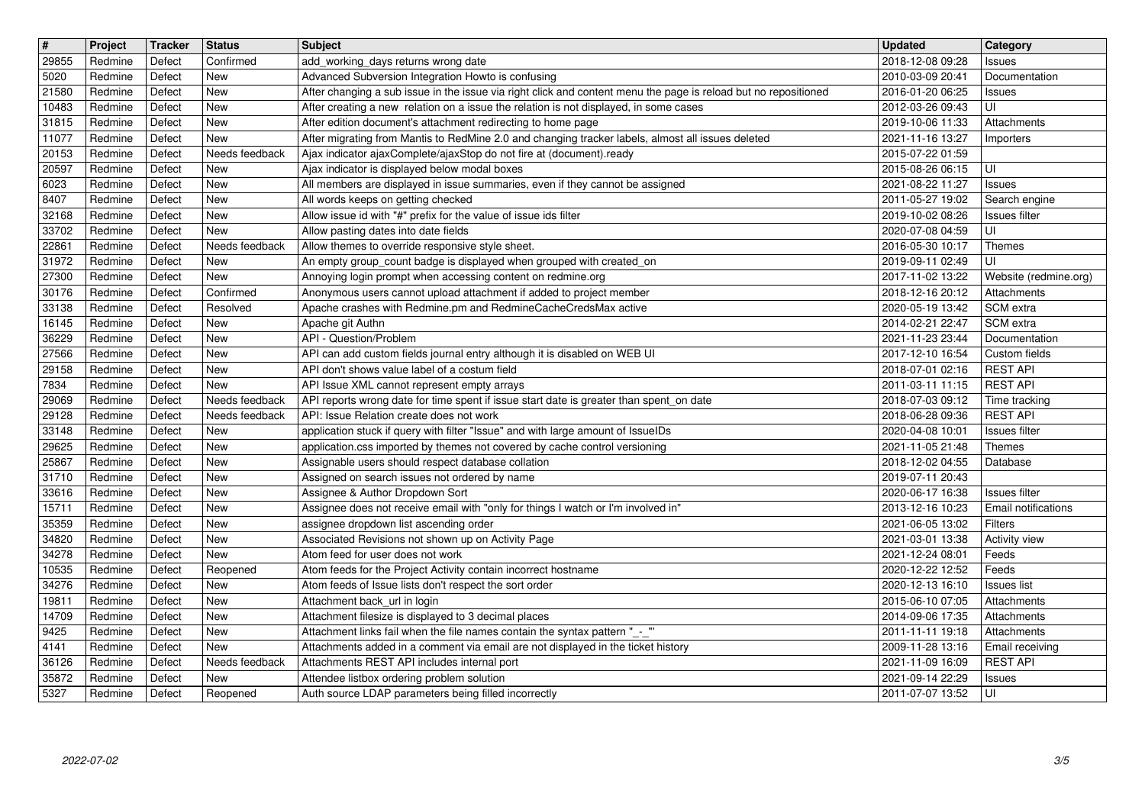| 29855          | Project            | Tracker          | <b>Status</b>                    | <b>Subject</b>                                                                                                                                                    | <b>Updated</b>                                         | Category                          |
|----------------|--------------------|------------------|----------------------------------|-------------------------------------------------------------------------------------------------------------------------------------------------------------------|--------------------------------------------------------|-----------------------------------|
| 5020           | Redmine<br>Redmine | Defect<br>Defect | Confirmed<br>New                 | add_working_days returns wrong date<br>Advanced Subversion Integration Howto is confusing                                                                         | 2018-12-08 09:28<br>2010-03-09 20:41                   | <b>Issues</b><br>Documentation    |
| 21580          | Redmine            | Defect           | New                              | After changing a sub issue in the issue via right click and content menu the page is reload but no repositioned                                                   | 2016-01-20 06:25                                       | <b>Issues</b>                     |
| 10483          | Redmine            | Defect           | New                              | After creating a new relation on a issue the relation is not displayed, in some cases                                                                             | 2012-03-26 09:43                                       | UI                                |
| 31815<br>11077 | Redmine<br>Redmine | Defect<br>Defect | New<br>New                       | After edition document's attachment redirecting to home page<br>After migrating from Mantis to RedMine 2.0 and changing tracker labels, almost all issues deleted | 2019-10-06 11:33<br>2021-11-16 13:27                   | Attachments<br>Importers          |
| 20153          | Redmine            | Defect           | Needs feedback                   | Ajax indicator ajaxComplete/ajaxStop do not fire at (document).ready                                                                                              | 2015-07-22 01:59                                       |                                   |
| 20597<br>6023  | Redmine<br>Redmine | Defect<br>Defect | New<br>New                       | Ajax indicator is displayed below modal boxes<br>All members are displayed in issue summaries, even if they cannot be assigned                                    | 2015-08-26 06:15<br>2021-08-22 11:27                   | UI                                |
| 8407           | Redmine            | Defect           | New                              | All words keeps on getting checked                                                                                                                                | 2011-05-27 19:02                                       | <b>Issues</b><br>Search engine    |
| 32168          | Redmine            | Defect           | New                              | Allow issue id with "#" prefix for the value of issue ids filter                                                                                                  | 2019-10-02 08:26                                       | Issues filter                     |
| 33702<br>22861 | Redmine<br>Redmine | Defect<br>Defect | New<br>Needs feedback            | Allow pasting dates into date fields<br>Allow themes to override responsive style sheet.                                                                          | 2020-07-08 04:59<br>2016-05-30 10:17                   | UI<br>Themes                      |
| 31972          | Redmine            | Defect           | New                              | An empty group_count badge is displayed when grouped with created_on                                                                                              | 2019-09-11 02:49                                       | UI                                |
| 27300          | Redmine            | Defect           | New                              | Annoying login prompt when accessing content on redmine.org                                                                                                       | 2017-11-02 13:22                                       | Website (redmine.org)             |
| 30176<br>33138 | Redmine<br>Redmine | Defect<br>Defect | Confirmed<br>Resolved            | Anonymous users cannot upload attachment if added to project member<br>Apache crashes with Redmine.pm and RedmineCacheCredsMax active                             | 2018-12-16 20:12<br>2020-05-19 13:42                   | Attachments<br>SCM extra          |
| 16145          | Redmine            | Defect           | New                              | Apache git Authn                                                                                                                                                  | 2014-02-21 22:47                                       | SCM extra                         |
| 36229<br>27566 | Redmine<br>Redmine | Defect<br>Defect | New<br>New                       | API - Question/Problem<br>API can add custom fields journal entry although it is disabled on WEB UI                                                               | 2021-11-23 23:44<br>2017-12-10 16:54                   | Documentation<br>Custom fields    |
| 29158          | Redmine            | Defect           | New                              | API don't shows value label of a costum field                                                                                                                     | 2018-07-01 02:16                                       | <b>REST API</b>                   |
| 7834           | Redmine            | Defect           | New                              | API Issue XML cannot represent empty arrays                                                                                                                       | 2011-03-11 11:15                                       | <b>REST API</b>                   |
| 29069<br>29128 | Redmine<br>Redmine | Defect<br>Defect | Needs feedback<br>Needs feedback | API reports wrong date for time spent if issue start date is greater than spent_on date<br>API: Issue Relation create does not work                               | 2018-07-03 09:12<br>2018-06-28 09:36                   | Time tracking<br><b>REST API</b>  |
| 33148          | Redmine            | Defect           | New                              | application stuck if query with filter "Issue" and with large amount of IssueIDs                                                                                  | 2020-04-08 10:01                                       | <b>Issues</b> filter              |
| 29625          | Redmine            | Defect           | New                              | application.css imported by themes not covered by cache control versioning                                                                                        | 2021-11-05 21:48                                       | Themes                            |
| 25867<br>31710 | Redmine<br>Redmine | Defect<br>Defect | New<br>New                       | Assignable users should respect database collation<br>Assigned on search issues not ordered by name                                                               | 2018-12-02 04:55<br>2019-07-11 20:43                   | Database                          |
| 33616          | Redmine            | Defect           | New                              | Assignee & Author Dropdown Sort                                                                                                                                   | 2020-06-17 16:38                                       | <b>Issues</b> filter              |
| 15711          | Redmine            | Defect           | New                              | Assignee does not receive email with "only for things I watch or I'm involved in"                                                                                 | 2013-12-16 10:23                                       | Email notifications               |
| 35359<br>34820 | Redmine<br>Redmine | Defect<br>Defect | New<br>New                       | assignee dropdown list ascending order<br>Associated Revisions not shown up on Activity Page                                                                      | 2021-06-05 13:02<br>2021-03-01 13:38                   | Filters<br>Activity view          |
| 34278          | Redmine            | Defect           | New                              | Atom feed for user does not work                                                                                                                                  | 2021-12-24 08:01                                       | Feeds                             |
| 10535          | Redmine            | Defect           | Reopened                         | Atom feeds for the Project Activity contain incorrect hostname                                                                                                    | 2020-12-22 12:52                                       | Feeds                             |
| 34276<br>19811 | Redmine<br>Redmine | Defect<br>Defect | New<br>New                       | Atom feeds of Issue lists don't respect the sort order<br>Attachment back_url in login                                                                            | 2020-12-13 16:10<br>2015-06-10 07:05                   | <b>Issues list</b><br>Attachments |
| 14709          | Redmine            | Defect           | New                              | Attachment filesize is displayed to 3 decimal places                                                                                                              | 2014-09-06 17:35                                       | Attachments                       |
| 9425           | Redmine<br>Redmine | Defect<br>Defect | New<br>New                       | Attachment links fail when the file names contain the syntax pattern "_-_"<br>Attachments added in a comment via email are not displayed in the ticket history    | 2011-11-11 19:18<br>2009-11-28 13:16   Email receiving | Attachments                       |
| 4141<br>36126  | Redmine            | Defect           | Needs feedback                   | Attachments REST API includes internal port                                                                                                                       | 2021-11-09 16:09                                       | <b>REST API</b>                   |
| 35872<br>5327  | Redmine<br>Redmine | Defect<br>Defect | New<br>Reopened                  | Attendee listbox ordering problem solution<br>Auth source LDAP parameters being filled incorrectly                                                                | 2021-09-14 22:29<br>2011-07-07 13:52                   | <b>Issues</b><br>l UI             |
|                |                    |                  |                                  |                                                                                                                                                                   |                                                        |                                   |
|                |                    |                  |                                  |                                                                                                                                                                   |                                                        |                                   |
|                |                    |                  |                                  |                                                                                                                                                                   |                                                        |                                   |
|                |                    |                  |                                  |                                                                                                                                                                   |                                                        |                                   |
|                |                    |                  |                                  |                                                                                                                                                                   |                                                        |                                   |
|                |                    |                  |                                  |                                                                                                                                                                   |                                                        |                                   |
|                |                    |                  |                                  |                                                                                                                                                                   |                                                        |                                   |
|                |                    |                  |                                  |                                                                                                                                                                   |                                                        |                                   |
|                |                    |                  |                                  |                                                                                                                                                                   |                                                        |                                   |
|                |                    |                  |                                  |                                                                                                                                                                   |                                                        |                                   |
|                |                    |                  |                                  |                                                                                                                                                                   |                                                        |                                   |
|                |                    |                  |                                  |                                                                                                                                                                   |                                                        |                                   |
|                |                    |                  |                                  |                                                                                                                                                                   |                                                        |                                   |
|                |                    |                  |                                  |                                                                                                                                                                   |                                                        |                                   |
|                |                    |                  |                                  |                                                                                                                                                                   |                                                        |                                   |
|                |                    |                  |                                  |                                                                                                                                                                   |                                                        |                                   |
|                |                    |                  |                                  |                                                                                                                                                                   |                                                        |                                   |
|                |                    |                  |                                  |                                                                                                                                                                   |                                                        |                                   |
|                |                    |                  |                                  |                                                                                                                                                                   |                                                        |                                   |
|                |                    |                  |                                  |                                                                                                                                                                   |                                                        |                                   |
|                |                    |                  |                                  |                                                                                                                                                                   |                                                        |                                   |
|                |                    |                  |                                  |                                                                                                                                                                   |                                                        |                                   |
|                |                    |                  |                                  |                                                                                                                                                                   |                                                        |                                   |
|                |                    |                  |                                  |                                                                                                                                                                   |                                                        |                                   |
|                |                    |                  |                                  |                                                                                                                                                                   |                                                        |                                   |
|                |                    |                  |                                  |                                                                                                                                                                   |                                                        |                                   |
|                |                    |                  |                                  |                                                                                                                                                                   |                                                        |                                   |
|                |                    |                  |                                  |                                                                                                                                                                   |                                                        |                                   |
|                |                    |                  |                                  |                                                                                                                                                                   |                                                        |                                   |
|                |                    |                  |                                  |                                                                                                                                                                   |                                                        |                                   |
|                |                    |                  |                                  |                                                                                                                                                                   |                                                        |                                   |
|                |                    |                  |                                  |                                                                                                                                                                   |                                                        |                                   |
|                |                    |                  |                                  |                                                                                                                                                                   |                                                        |                                   |
|                |                    |                  |                                  |                                                                                                                                                                   |                                                        |                                   |
|                |                    |                  |                                  |                                                                                                                                                                   |                                                        |                                   |
|                |                    |                  |                                  |                                                                                                                                                                   |                                                        |                                   |
|                |                    |                  |                                  |                                                                                                                                                                   |                                                        |                                   |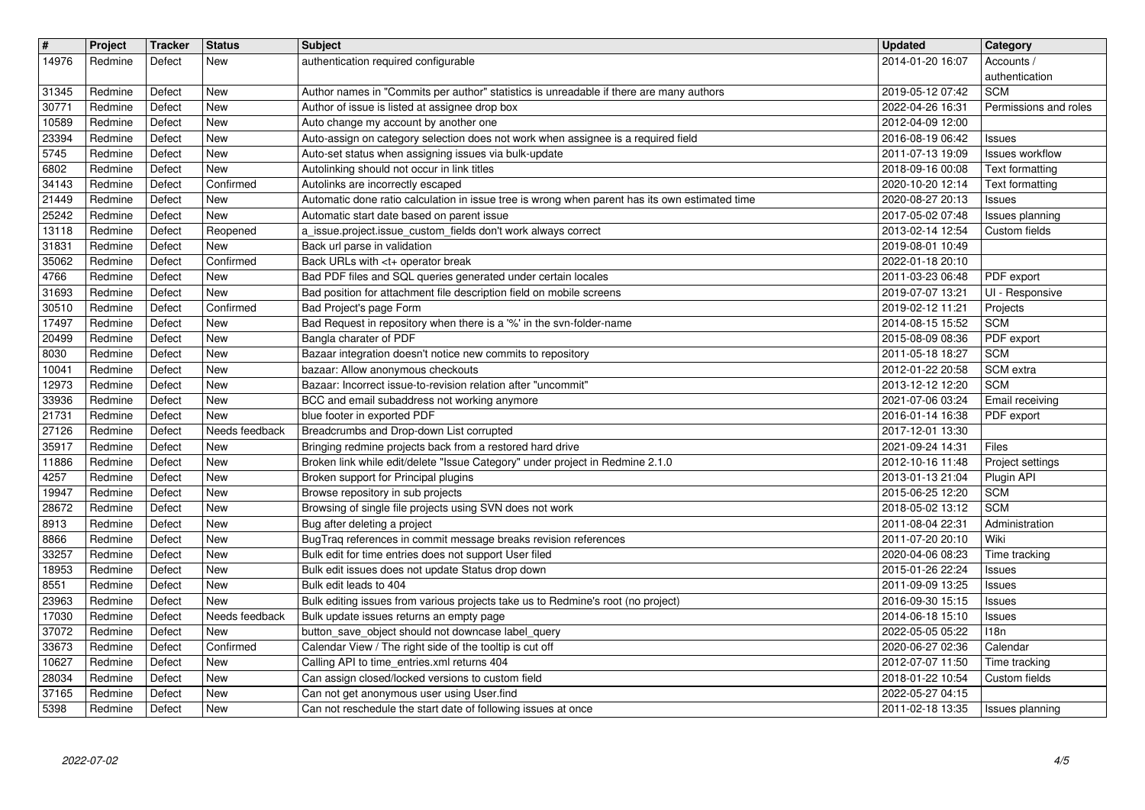| $\sqrt{\frac{4}{15}}$<br>14976 | Project<br>Redmine | <b>Tracker</b><br>Defect | <b>Status</b><br>New         | <b>Subject</b><br>authentication required configurable                                                                              | <b>Updated</b><br>2014-01-20 16:07   | Category<br>Accounts /                           |
|--------------------------------|--------------------|--------------------------|------------------------------|-------------------------------------------------------------------------------------------------------------------------------------|--------------------------------------|--------------------------------------------------|
| 31345                          | Redmine            | Defect                   | <b>New</b>                   | Author names in "Commits per author" statistics is unreadable if there are many authors                                             | 2019-05-12 07:42                     | authentication<br><b>SCM</b>                     |
| 30771<br>10589                 | Redmine<br>Redmine | Defect<br>Defect         | <b>New</b><br><b>New</b>     | Author of issue is listed at assignee drop box<br>Auto change my account by another one                                             | 2022-04-26 16:31<br>2012-04-09 12:00 | Permissions and roles                            |
| 23394                          | Redmine            | Defect                   | <b>New</b>                   | Auto-assign on category selection does not work when assignee is a required field                                                   | 2016-08-19 06:42                     | <b>Issues</b>                                    |
| 5745<br>6802                   | Redmine<br>Redmine | Defect<br>Defect         | New<br><b>New</b>            | Auto-set status when assigning issues via bulk-update<br>Autolinking should not occur in link titles                                | 2011-07-13 19:09<br>2018-09-16 00:08 | <b>Issues workflow</b><br><b>Text formatting</b> |
| 34143<br>21449                 | Redmine<br>Redmine | Defect<br>Defect         | Confirmed<br><b>New</b>      | Autolinks are incorrectly escaped<br>Automatic done ratio calculation in issue tree is wrong when parent has its own estimated time | 2020-10-20 12:14<br>2020-08-27 20:13 | Text formatting<br><b>Issues</b>                 |
| 25242                          | Redmine            | Defect                   | <b>New</b>                   | Automatic start date based on parent issue                                                                                          | 2017-05-02 07:48                     | Issues planning                                  |
| 13118<br>31831                 | Redmine<br>Redmine | Defect<br>Defect         | Reopened<br><b>New</b>       | a_issue.project.issue_custom_fields don't work always correct<br>Back url parse in validation                                       | 2013-02-14 12:54<br>2019-08-01 10:49 | Custom fields                                    |
| 35062<br>4766                  | Redmine<br>Redmine | Defect<br>Defect         | Confirmed<br><b>New</b>      | Back URLs with <t+ break<br="" operator="">Bad PDF files and SQL queries generated under certain locales</t+>                       | 2022-01-18 20:10<br>2011-03-23 06:48 | PDF export                                       |
| 31693                          | Redmine            | Defect                   | <b>New</b>                   | Bad position for attachment file description field on mobile screens                                                                | 2019-07-07 13:21                     | UI - Responsive                                  |
| 30510<br>17497                 | Redmine<br>Redmine | Defect<br>Defect         | Confirmed<br><b>New</b>      | Bad Project's page Form<br>Bad Request in repository when there is a '%' in the svn-folder-name                                     | 2019-02-12 11:21<br>2014-08-15 15:52 | Projects<br><b>SCM</b>                           |
| 20499                          | Redmine            | Defect                   | <b>New</b>                   | Bangla charater of PDF                                                                                                              | 2015-08-09 08:36                     | PDF export                                       |
| 8030<br>10041                  | Redmine<br>Redmine | Defect<br>Defect         | <b>New</b><br>New            | Bazaar integration doesn't notice new commits to repository<br>bazaar: Allow anonymous checkouts                                    | 2011-05-18 18:27<br>2012-01-22 20:58 | <b>SCM</b><br>SCM extra                          |
| 12973<br>33936                 | Redmine<br>Redmine | Defect<br>Defect         | <b>New</b><br><b>New</b>     | Bazaar: Incorrect issue-to-revision relation after "uncommit"<br>BCC and email subaddress not working anymore                       | 2013-12-12 12:20<br>2021-07-06 03:24 | <b>SCM</b><br>Email receiving                    |
| 21731                          | Redmine            | Defect                   | <b>New</b>                   | blue footer in exported PDF                                                                                                         | 2016-01-14 16:38                     | PDF export                                       |
| 27126<br>35917                 | Redmine<br>Redmine | Defect<br>Defect         | Needs feedback<br><b>New</b> | Breadcrumbs and Drop-down List corrupted<br>Bringing redmine projects back from a restored hard drive                               | 2017-12-01 13:30<br>2021-09-24 14:31 | Files                                            |
| 11886<br>4257                  | Redmine<br>Redmine | Defect<br>Defect         | <b>New</b><br>New            | Broken link while edit/delete "Issue Category" under project in Redmine 2.1.0<br>Broken support for Principal plugins               | 2012-10-16 11:48<br>2013-01-13 21:04 | Project settings<br>Plugin API                   |
| 19947                          | Redmine            | Defect                   | <b>New</b>                   | Browse repository in sub projects                                                                                                   | 2015-06-25 12:20                     | <b>SCM</b>                                       |
| 28672<br>8913                  | Redmine<br>Redmine | Defect<br>Defect         | <b>New</b><br><b>New</b>     | Browsing of single file projects using SVN does not work<br>Bug after deleting a project                                            | 2018-05-02 13:12<br>2011-08-04 22:31 | <b>SCM</b><br>Administration                     |
| 8866                           | Redmine            | Defect                   | <b>New</b>                   | BugTraq references in commit message breaks revision references                                                                     | 2011-07-20 20:10                     | Wiki                                             |
| 33257<br>18953                 | Redmine<br>Redmine | Defect<br>Defect         | New<br><b>New</b>            | Bulk edit for time entries does not support User filed<br>Bulk edit issues does not update Status drop down                         | 2020-04-06 08:23<br>2015-01-26 22:24 | Time tracking<br><b>Issues</b>                   |
| 8551<br>23963                  | Redmine<br>Redmine | Defect<br>Defect         | <b>New</b><br><b>New</b>     | Bulk edit leads to 404<br>Bulk editing issues from various projects take us to Redmine's root (no project)                          | 2011-09-09 13:25<br>2016-09-30 15:15 | <b>Issues</b><br><b>Issues</b>                   |
| 17030                          | Redmine            | Defect                   | Needs feedback               | Bulk update issues returns an empty page                                                                                            | 2014-06-18 15:10                     | <b>Issues</b>                                    |
| 37072<br>33673                 | Redmine<br>Redmine | Defect<br>Defect         | New<br>Confirmed             | button_save_object should not downcase label_query<br>Calendar View / The right side of the tooltip is cut off                      | 2022-05-05 05:22<br>2020-06-27 02:36 | <b>118n</b><br>Calendar                          |
| 10627<br>28034                 | Redmine<br>Redmine | Defect<br>Defect         | <b>New</b><br>New            | Calling API to time_entries.xml returns 404<br>Can assign closed/locked versions to custom field                                    | 2012-07-07 11:50<br>2018-01-22 10:54 | Time tracking<br>Custom fields                   |
| 37165<br>5398                  | Redmine            | Defect                   | <b>New</b>                   | Can not get anonymous user using User.find<br>Can not reschedule the start date of following issues at once                         | 2022-05-27 04:15<br>2011-02-18 13:35 |                                                  |
|                                |                    |                          |                              |                                                                                                                                     |                                      |                                                  |
|                                |                    |                          |                              |                                                                                                                                     |                                      |                                                  |
|                                |                    |                          |                              |                                                                                                                                     |                                      |                                                  |
|                                |                    |                          |                              |                                                                                                                                     |                                      |                                                  |
|                                |                    |                          |                              |                                                                                                                                     |                                      |                                                  |
|                                |                    |                          |                              |                                                                                                                                     |                                      |                                                  |
|                                |                    |                          |                              |                                                                                                                                     |                                      |                                                  |
|                                |                    |                          |                              |                                                                                                                                     |                                      |                                                  |
|                                |                    |                          |                              |                                                                                                                                     |                                      |                                                  |
|                                |                    |                          |                              |                                                                                                                                     |                                      |                                                  |